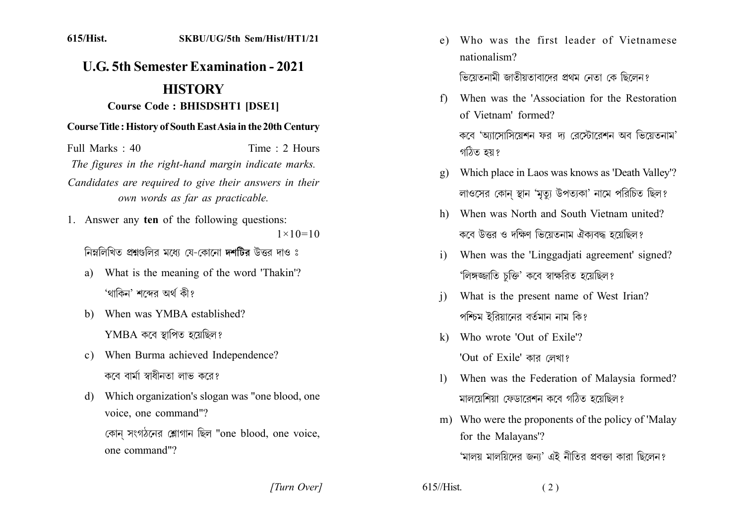## 615/Hist. SKBU/UG/5th Sem/Hist/HT1/21

## **U.G. 5th Semester Examination - 2021 HISTORY**

## **Course Code: BHISDSHT1 [DSE1]**

## **Course Title: History of South East Asia in the 20th Century**

Full Marks  $\cdot$  40 Time : 2 Hours The figures in the right-hand margin indicate marks. Candidates are required to give their answers in their own words as far as practicable.

1. Answer any ten of the following questions:  $1 \times 10 = 10$ 

নিম্নলিখিত প্রশ্নগুলির মধ্যে যে-কোনো দশটির উত্তর দাও ঃ

- What is the meaning of the word 'Thakin'? a) 'থাকিন' শব্দের অর্থ কী?
- b) When was YMBA established?  $YMBA$  কবে স্থাপিত হয়েছিল?
- When Burma achieved Independence?  $\mathbf{c}$ ) কবে বার্মা স্বাধীনতা লাভ করে?
- Which organization's slogan was "one blood, one d) voice, one command"? কোন সংগঠনের শ্লোগান ছিল "one blood, one voice, one command"?

e) Who was the first leader of Vietnamese nationalism?

ভিয়েতনামী জাতীয়তাবাদের প্রথম নেতা কে ছিলেন?

- When was the 'Association for the Restoration f) of Vietnam' formed? কবে 'আসোসিয়েশন ফর দা রেস্টোরেশন অব ভিয়েতনাম' গঠিত হয়?
- Which place in Laos was knows as 'Death Valley'?  $\mathbf{g}$ ) লাওসের কোন স্থান 'মৃত্যু উপত্যকা' নামে পরিচিত ছিল?
- h) When was North and South Vietnam united? কবে উত্তর ও দক্ষিণ ভিয়েতনাম ঐকাবদ্ধ হয়েছিল?
- When was the 'Linggadiati agreement' signed?  $\mathbf{i}$ 'লিঙ্গজ্জাতি চক্তি' কবে স্বাক্ষরিত হয়েছিল?
- What is the present name of West Irian?  $\mathbf{i}$ পশ্চিম ইরিয়ানের বর্তমান নাম কি?
- k) Who wrote 'Out of Exile'? 'Out of Exile' কার লেখা?
- When was the Federation of Malaysia formed?  $\mathbf{D}$ মালয়েশিয়া ফেডারেশন কবে গঠিত হয়েছিল?
- m) Who were the proponents of the policy of 'Malay for the Malayans'? 'মালয় মালয়িদের জন্য' এই নীতির প্রবক্তা কারা ছিলেন?

[Turn Over]

 $615$ //Hist.

 $(2)$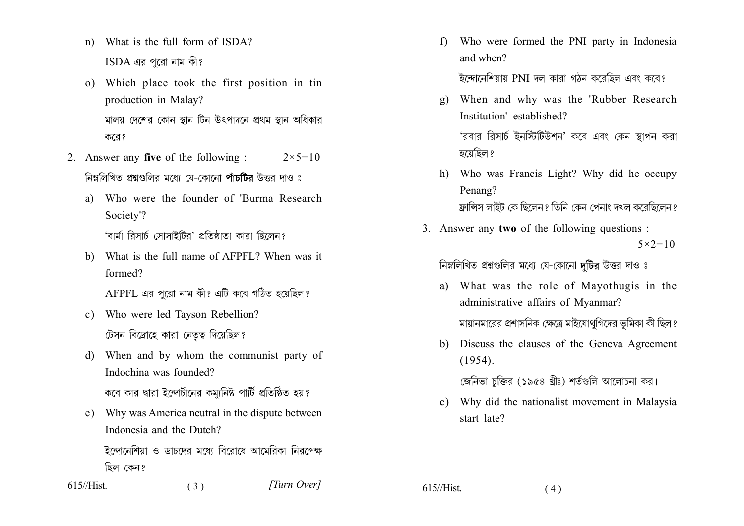- n) What is the full form of ISDA?  $ISDA$  এর পুরো নাম কী?
- o) Which place took the first position in tin production in Malay? মালয় দেশের কোন স্থান টিন উৎপাদনে প্রথম স্থান অধিকার করে?
- 2. Answer any **five** of the following :  $2 \times 5 = 10$ নিম্নলিখিত প্রশ্নগুলির মধ্যে যে-কোনো পাঁচটির উত্তর দাও ঃ
	- Who were the founder of 'Burma Research  $\mathbf{a}$ Society'?

'বাৰ্মা রিসাৰ্চ সোসাইটির' প্রতিষ্ঠাতা কারা ছিলেন?

b) What is the full name of AFPFL? When was it formed?

AFPFL এর পুরো নাম কী? এটি কবে গঠিত হয়েছিল?

- c) Who were led Tayson Rebellion? টেসন বিদ্রোহে কারা নেতৃত্ব দিয়েছিল?
- When and by whom the communist party of  $d)$ Indochina was founded?

কবে কার দ্বারা ইন্দোচীনের কম্যুনিষ্ট পার্টি প্রতিষ্ঠিত হয়?

e) Why was America neutral in the dispute between Indonesia and the Dutch?

ইন্দোনেশিয়া ও ডাচদের মধ্যে বিরোধে আমেরিকা নিরপেক্ষ ছিল কেন?

 $615$ //Hist.  $(3)$  [Turn Over]

Who were formed the PNI party in Indonesia  $f$ ) and when?

ইন্দোনেশিয়ায় PNI দল কারা গঠন করেছিল এবং কবে?

- g) When and why was the 'Rubber Research Institution' established? 'রবার রিসার্চ ইনস্টিটিউশন' কবে এবং কেন স্থাপন করা হয়েছিল ?
- h) Who was Francis Light? Why did he occupy Penang? ফ্রান্সিস লাইট কে ছিলেন? তিনি কেন পেনাং দখল করেছিলেন?
- 3. Answer any two of the following questions:  $5 \times 2 = 10$

নিম্নলিখিত প্রশ্নগুলির মধ্যে যে-কোনো দটির উত্তর দাও ঃ

- a) What was the role of Mayothugis in the administrative affairs of Myanmar? মায়ানমারের প্রশাসনিক ক্ষেত্রে মাইযোথগিদের ভূমিকা কী ছিল?
- b) Discuss the clauses of the Geneva Agreement  $(1954).$

জেনিভা চক্তির (১৯৫৪ খ্রীঃ) শর্তগুলি আলোচনা কর।

c) Why did the nationalist movement in Malaysia start late?

 $615$ //Hist.